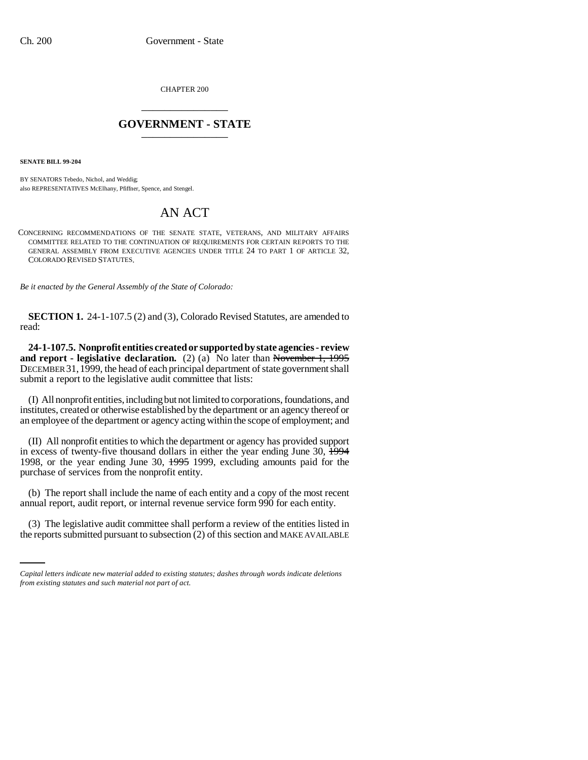CHAPTER 200 \_\_\_\_\_\_\_\_\_\_\_\_\_\_\_

## **GOVERNMENT - STATE** \_\_\_\_\_\_\_\_\_\_\_\_\_\_\_

**SENATE BILL 99-204** 

BY SENATORS Tebedo, Nichol, and Weddig; also REPRESENTATIVES McElhany, Pfiffner, Spence, and Stengel.

# AN ACT

CONCERNING RECOMMENDATIONS OF THE SENATE STATE, VETERANS, AND MILITARY AFFAIRS COMMITTEE RELATED TO THE CONTINUATION OF REQUIREMENTS FOR CERTAIN REPORTS TO THE GENERAL ASSEMBLY FROM EXECUTIVE AGENCIES UNDER TITLE 24 TO PART 1 OF ARTICLE 32, COLORADO REVISED STATUTES.

*Be it enacted by the General Assembly of the State of Colorado:*

**SECTION 1.** 24-1-107.5 (2) and (3), Colorado Revised Statutes, are amended to read:

**24-1-107.5. Nonprofit entities created or supported by state agencies - review and report - legislative declaration.** (2) (a) No later than November 1, 1995 DECEMBER 31,1999, the head of each principal department of state government shall submit a report to the legislative audit committee that lists:

(I) All nonprofit entities, including but not limited to corporations, foundations, and institutes, created or otherwise established by the department or an agency thereof or an employee of the department or agency acting within the scope of employment; and

(II) All nonprofit entities to which the department or agency has provided support in excess of twenty-five thousand dollars in either the year ending June 30,  $\overline{1994}$ 1998, or the year ending June 30, 1995 1999, excluding amounts paid for the purchase of services from the nonprofit entity.

(b) The report shall include the name of each entity and a copy of the most recent annual report, audit report, or internal revenue service form 990 for each entity.

(3) The legislative audit committee shall perform a review of the entities listed in the reports submitted pursuant to subsection (2) of this section and MAKE AVAILABLE

*Capital letters indicate new material added to existing statutes; dashes through words indicate deletions from existing statutes and such material not part of act.*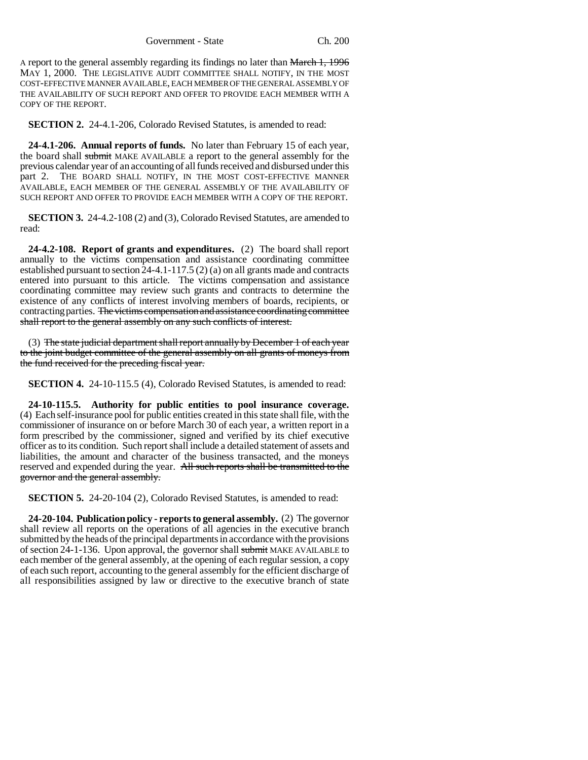A report to the general assembly regarding its findings no later than March 1, 1996 MAY 1, 2000. THE LEGISLATIVE AUDIT COMMITTEE SHALL NOTIFY, IN THE MOST COST-EFFECTIVE MANNER AVAILABLE, EACH MEMBER OF THE GENERAL ASSEMBLY OF THE AVAILABILITY OF SUCH REPORT AND OFFER TO PROVIDE EACH MEMBER WITH A COPY OF THE REPORT.

**SECTION 2.** 24-4.1-206, Colorado Revised Statutes, is amended to read:

**24-4.1-206. Annual reports of funds.** No later than February 15 of each year, the board shall submit MAKE AVAILABLE a report to the general assembly for the previous calendar year of an accounting of all funds received and disbursed under this part 2. THE BOARD SHALL NOTIFY, IN THE MOST COST-EFFECTIVE MANNER AVAILABLE, EACH MEMBER OF THE GENERAL ASSEMBLY OF THE AVAILABILITY OF SUCH REPORT AND OFFER TO PROVIDE EACH MEMBER WITH A COPY OF THE REPORT.

**SECTION 3.** 24-4.2-108 (2) and (3), Colorado Revised Statutes, are amended to read:

**24-4.2-108. Report of grants and expenditures.** (2) The board shall report annually to the victims compensation and assistance coordinating committee established pursuant to section 24-4.1-117.5 (2) (a) on all grants made and contracts entered into pursuant to this article. The victims compensation and assistance coordinating committee may review such grants and contracts to determine the existence of any conflicts of interest involving members of boards, recipients, or contracting parties. The victims compensation and assistance coordinating committee shall report to the general assembly on any such conflicts of interest.

(3) The state judicial department shall report annually by December 1 of each year to the joint budget committee of the general assembly on all grants of moneys from the fund received for the preceding fiscal year.

**SECTION 4.** 24-10-115.5 (4), Colorado Revised Statutes, is amended to read:

**24-10-115.5. Authority for public entities to pool insurance coverage.** (4) Each self-insurance pool for public entities created in this state shall file, with the commissioner of insurance on or before March 30 of each year, a written report in a form prescribed by the commissioner, signed and verified by its chief executive officer as to its condition. Such report shall include a detailed statement of assets and liabilities, the amount and character of the business transacted, and the moneys reserved and expended during the year. All such reports shall be transmitted to the governor and the general assembly.

**SECTION 5.** 24-20-104 (2), Colorado Revised Statutes, is amended to read:

**24-20-104. Publication policy - reports to general assembly.** (2) The governor shall review all reports on the operations of all agencies in the executive branch submitted by the heads of the principal departments in accordance with the provisions of section 24-1-136. Upon approval, the governor shall submit MAKE AVAILABLE to each member of the general assembly, at the opening of each regular session, a copy of each such report, accounting to the general assembly for the efficient discharge of all responsibilities assigned by law or directive to the executive branch of state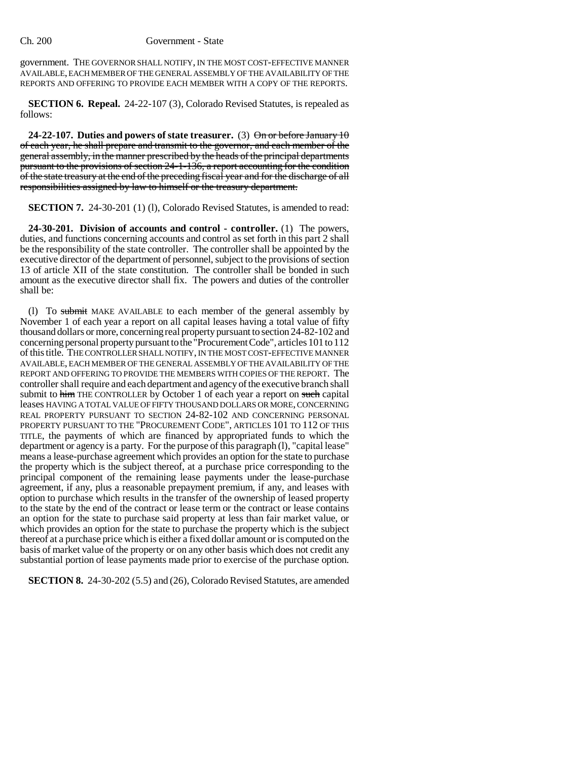#### Ch. 200 Government - State

government. THE GOVERNOR SHALL NOTIFY, IN THE MOST COST-EFFECTIVE MANNER AVAILABLE, EACH MEMBER OF THE GENERAL ASSEMBLY OF THE AVAILABILITY OF THE REPORTS AND OFFERING TO PROVIDE EACH MEMBER WITH A COPY OF THE REPORTS.

**SECTION 6. Repeal.** 24-22-107 (3), Colorado Revised Statutes, is repealed as follows:

**24-22-107. Duties and powers of state treasurer.** (3) On or before January 10 of each year, he shall prepare and transmit to the governor, and each member of the general assembly, in the manner prescribed by the heads of the principal departments pursuant to the provisions of section 24-1-136, a report accounting for the condition of the state treasury at the end of the preceding fiscal year and for the discharge of all responsibilities assigned by law to himself or the treasury department.

**SECTION 7.** 24-30-201 (1) (1), Colorado Revised Statutes, is amended to read:

**24-30-201. Division of accounts and control - controller.** (1) The powers, duties, and functions concerning accounts and control as set forth in this part 2 shall be the responsibility of the state controller. The controller shall be appointed by the executive director of the department of personnel, subject to the provisions of section 13 of article XII of the state constitution. The controller shall be bonded in such amount as the executive director shall fix. The powers and duties of the controller shall be:

(l) To submit MAKE AVAILABLE to each member of the general assembly by November 1 of each year a report on all capital leases having a total value of fifty thousand dollars or more, concerning real property pursuant to section 24-82-102 and concerning personal property pursuant to the "Procurement Code", articles 101 to 112 of this title. THE CONTROLLER SHALL NOTIFY, IN THE MOST COST-EFFECTIVE MANNER AVAILABLE, EACH MEMBER OF THE GENERAL ASSEMBLY OF THE AVAILABILITY OF THE REPORT AND OFFERING TO PROVIDE THE MEMBERS WITH COPIES OF THE REPORT. The controller shall require and each department and agency of the executive branch shall submit to him THE CONTROLLER by October 1 of each year a report on such capital leases HAVING A TOTAL VALUE OF FIFTY THOUSAND DOLLARS OR MORE, CONCERNING REAL PROPERTY PURSUANT TO SECTION 24-82-102 AND CONCERNING PERSONAL PROPERTY PURSUANT TO THE "PROCUREMENT CODE", ARTICLES 101 TO 112 OF THIS TITLE, the payments of which are financed by appropriated funds to which the department or agency is a party. For the purpose of this paragraph (l), "capital lease" means a lease-purchase agreement which provides an option for the state to purchase the property which is the subject thereof, at a purchase price corresponding to the principal component of the remaining lease payments under the lease-purchase agreement, if any, plus a reasonable prepayment premium, if any, and leases with option to purchase which results in the transfer of the ownership of leased property to the state by the end of the contract or lease term or the contract or lease contains an option for the state to purchase said property at less than fair market value, or which provides an option for the state to purchase the property which is the subject thereof at a purchase price which is either a fixed dollar amount or is computed on the basis of market value of the property or on any other basis which does not credit any substantial portion of lease payments made prior to exercise of the purchase option.

**SECTION 8.** 24-30-202 (5.5) and (26), Colorado Revised Statutes, are amended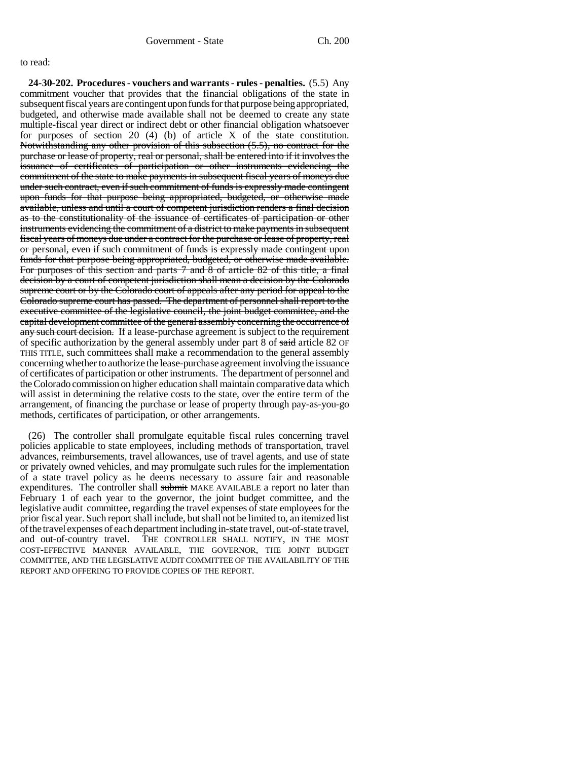### to read:

**24-30-202. Procedures - vouchers and warrants - rules - penalties.** (5.5) Any commitment voucher that provides that the financial obligations of the state in subsequent fiscal years are contingent upon funds for that purpose being appropriated, budgeted, and otherwise made available shall not be deemed to create any state multiple-fiscal year direct or indirect debt or other financial obligation whatsoever for purposes of section 20 (4) (b) of article X of the state constitution. Notwithstanding any other provision of this subsection (5.5), no contract for the purchase or lease of property, real or personal, shall be entered into if it involves the issuance of certificates of participation or other instruments evidencing the commitment of the state to make payments in subsequent fiscal years of moneys due under such contract, even if such commitment of funds is expressly made contingent upon funds for that purpose being appropriated, budgeted, or otherwise made available, unless and until a court of competent jurisdiction renders a final decision as to the constitutionality of the issuance of certificates of participation or other instruments evidencing the commitment of a district to make payments in subsequent fiscal years of moneys due under a contract for the purchase or lease of property, real or personal, even if such commitment of funds is expressly made contingent upon funds for that purpose being appropriated, budgeted, or otherwise made available. For purposes of this section and parts 7 and 8 of article 82 of this title, a final decision by a court of competent jurisdiction shall mean a decision by the Colorado supreme court or by the Colorado court of appeals after any period for appeal to the Colorado supreme court has passed. The department of personnel shall report to the executive committee of the legislative council, the joint budget committee, and the capital development committee of the general assembly concerning the occurrence of any such court decision. If a lease-purchase agreement is subject to the requirement of specific authorization by the general assembly under part 8 of said article 82 OF THIS TITLE, such committees shall make a recommendation to the general assembly concerning whether to authorize the lease-purchase agreement involving the issuance of certificates of participation or other instruments. The department of personnel and the Colorado commission on higher education shall maintain comparative data which will assist in determining the relative costs to the state, over the entire term of the arrangement, of financing the purchase or lease of property through pay-as-you-go methods, certificates of participation, or other arrangements.

(26) The controller shall promulgate equitable fiscal rules concerning travel policies applicable to state employees, including methods of transportation, travel advances, reimbursements, travel allowances, use of travel agents, and use of state or privately owned vehicles, and may promulgate such rules for the implementation of a state travel policy as he deems necessary to assure fair and reasonable expenditures. The controller shall submit MAKE AVAILABLE a report no later than February 1 of each year to the governor, the joint budget committee, and the legislative audit committee, regarding the travel expenses of state employees for the prior fiscal year. Such report shall include, but shall not be limited to, an itemized list of the travel expenses of each department including in-state travel, out-of-state travel, and out-of-country travel. THE CONTROLLER SHALL NOTIFY, IN THE MOST COST-EFFECTIVE MANNER AVAILABLE, THE GOVERNOR, THE JOINT BUDGET COMMITTEE, AND THE LEGISLATIVE AUDIT COMMITTEE OF THE AVAILABILITY OF THE REPORT AND OFFERING TO PROVIDE COPIES OF THE REPORT.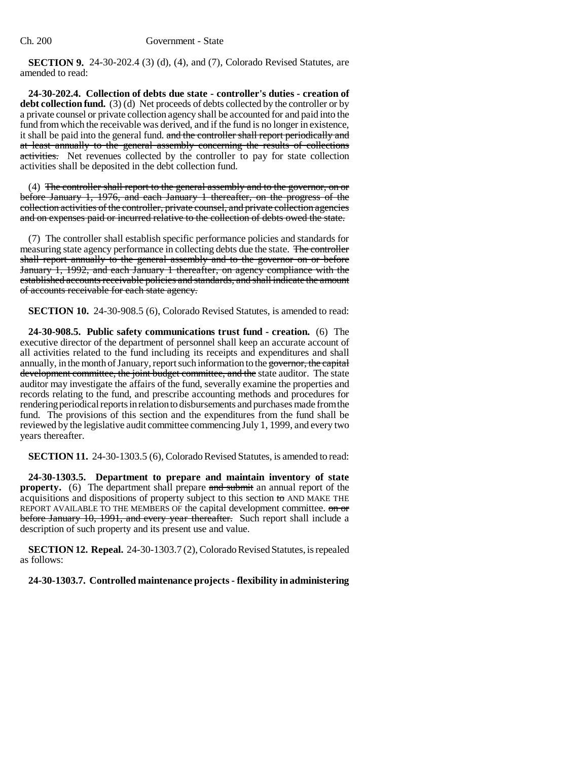**SECTION 9.** 24-30-202.4 (3) (d), (4), and (7), Colorado Revised Statutes, are amended to read:

**24-30-202.4. Collection of debts due state - controller's duties - creation of debt collection fund.** (3) (d) Net proceeds of debts collected by the controller or by a private counsel or private collection agency shall be accounted for and paid into the fund from which the receivable was derived, and if the fund is no longer in existence, it shall be paid into the general fund. and the controller shall report periodically and at least annually to the general assembly concerning the results of collections activities. Net revenues collected by the controller to pay for state collection activities shall be deposited in the debt collection fund.

(4) The controller shall report to the general assembly and to the governor, on or before January 1, 1976, and each January 1 thereafter, on the progress of the collection activities of the controller, private counsel, and private collection agencies and on expenses paid or incurred relative to the collection of debts owed the state.

(7) The controller shall establish specific performance policies and standards for measuring state agency performance in collecting debts due the state. The controller shall report annually to the general assembly and to the governor on or before January 1, 1992, and each January 1 thereafter, on agency compliance with the established accounts receivable policies and standards, and shall indicate the amount of accounts receivable for each state agency.

**SECTION 10.** 24-30-908.5 (6), Colorado Revised Statutes, is amended to read:

**24-30-908.5. Public safety communications trust fund - creation.** (6) The executive director of the department of personnel shall keep an accurate account of all activities related to the fund including its receipts and expenditures and shall annually, in the month of January, report such information to the governor, the capital development committee, the joint budget committee, and the state auditor. The state auditor may investigate the affairs of the fund, severally examine the properties and records relating to the fund, and prescribe accounting methods and procedures for rendering periodical reports in relation to disbursements and purchases made from the fund. The provisions of this section and the expenditures from the fund shall be reviewed by the legislative audit committee commencing July 1, 1999, and every two years thereafter.

**SECTION 11.** 24-30-1303.5 (6), Colorado Revised Statutes, is amended to read:

**24-30-1303.5. Department to prepare and maintain inventory of state property.** (6) The department shall prepare and submit an annual report of the acquisitions and dispositions of property subject to this section to AND MAKE THE REPORT AVAILABLE TO THE MEMBERS OF the capital development committee. on or before January 10, 1991, and every year thereafter. Such report shall include a description of such property and its present use and value.

**SECTION 12. Repeal.** 24-30-1303.7 (2), Colorado Revised Statutes, is repealed as follows:

**24-30-1303.7. Controlled maintenance projects - flexibility in administering**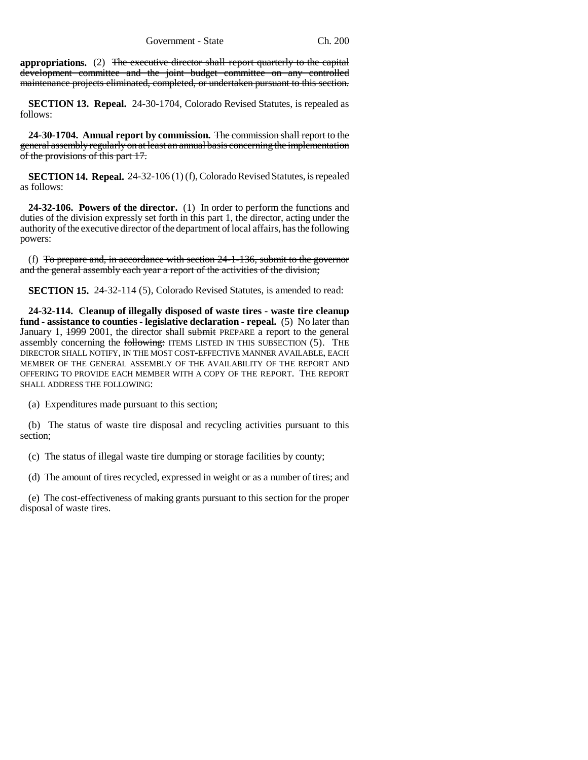**appropriations.** (2) The executive director shall report quarterly to the capital development committee and the joint budget committee on any controlled maintenance projects eliminated, completed, or undertaken pursuant to this section.

**SECTION 13. Repeal.** 24-30-1704, Colorado Revised Statutes, is repealed as follows:

**24-30-1704. Annual report by commission.** The commission shall report to the general assembly regularly on at least an annual basis concerning the implementation of the provisions of this part 17.

**SECTION 14. Repeal.** 24-32-106 (1) (f), Colorado Revised Statutes, is repealed as follows:

**24-32-106. Powers of the director.** (1) In order to perform the functions and duties of the division expressly set forth in this part 1, the director, acting under the authority of the executive director of the department of local affairs, has the following powers:

(f) To prepare and, in accordance with section  $24-1-136$ , submit to the governor and the general assembly each year a report of the activities of the division;

**SECTION 15.** 24-32-114 (5), Colorado Revised Statutes, is amended to read:

**24-32-114. Cleanup of illegally disposed of waste tires - waste tire cleanup fund - assistance to counties - legislative declaration - repeal.** (5) No later than January 1, 1999 2001, the director shall submit PREPARE a report to the general assembly concerning the following: ITEMS LISTED IN THIS SUBSECTION (5). THE DIRECTOR SHALL NOTIFY, IN THE MOST COST-EFFECTIVE MANNER AVAILABLE, EACH MEMBER OF THE GENERAL ASSEMBLY OF THE AVAILABILITY OF THE REPORT AND OFFERING TO PROVIDE EACH MEMBER WITH A COPY OF THE REPORT. THE REPORT SHALL ADDRESS THE FOLLOWING:

(a) Expenditures made pursuant to this section;

(b) The status of waste tire disposal and recycling activities pursuant to this section;

(c) The status of illegal waste tire dumping or storage facilities by county;

(d) The amount of tires recycled, expressed in weight or as a number of tires; and

(e) The cost-effectiveness of making grants pursuant to this section for the proper disposal of waste tires.